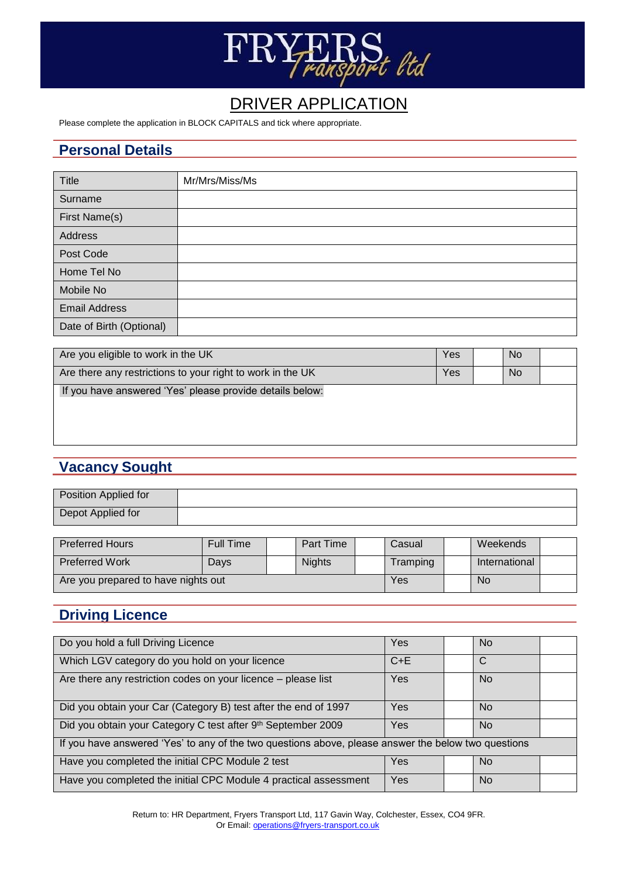

# DRIVER APPLICATION

Please complete the application in BLOCK CAPITALS and tick where appropriate.

#### **Personal Details**

| Title                    | Mr/Mrs/Miss/Ms |
|--------------------------|----------------|
| Surname                  |                |
| First Name(s)            |                |
| <b>Address</b>           |                |
| Post Code                |                |
| Home Tel No              |                |
| Mobile No                |                |
| <b>Email Address</b>     |                |
| Date of Birth (Optional) |                |

| Are you eligible to work in the UK                         | Yes | <b>No</b> |  |
|------------------------------------------------------------|-----|-----------|--|
| Are there any restrictions to your right to work in the UK | Yes | <b>No</b> |  |
| If you have answered 'Yes' please provide details below:   |     |           |  |

# **Vacancy Sought**

| Position Applied for |  |
|----------------------|--|
| Depot Applied for    |  |

| <b>Preferred Hours</b>              | Full Time |  | <b>Part Time</b> |  | Casual   | Weekends      |  |
|-------------------------------------|-----------|--|------------------|--|----------|---------------|--|
| <b>Preferred Work</b>               | Days      |  | <b>Nights</b>    |  | Tramping | International |  |
| Are you prepared to have nights out |           |  |                  |  | Yes      | No            |  |

# **Driving Licence**

| Do you hold a full Driving Licence                                                                  | Yes        | No.            |  |
|-----------------------------------------------------------------------------------------------------|------------|----------------|--|
| Which LGV category do you hold on your licence                                                      | $C + E$    | C              |  |
| Are there any restriction codes on your licence - please list                                       | Yes        | <b>No</b>      |  |
| Did you obtain your Car (Category B) test after the end of 1997                                     | Yes        | No.            |  |
| Did you obtain your Category C test after 9th September 2009                                        | <b>Yes</b> | N <sub>o</sub> |  |
| If you have answered 'Yes' to any of the two questions above, please answer the below two questions |            |                |  |
| Have you completed the initial CPC Module 2 test                                                    | Yes        | <b>No</b>      |  |
| Have you completed the initial CPC Module 4 practical assessment                                    | Yes        | No.            |  |

Return to: HR Department, Fryers Transport Ltd, 117 Gavin Way, Colchester, Essex, CO4 9FR. Or Email[: operations@fryers-transport.co.uk](mailto:operations@fryers-transport.co.uk)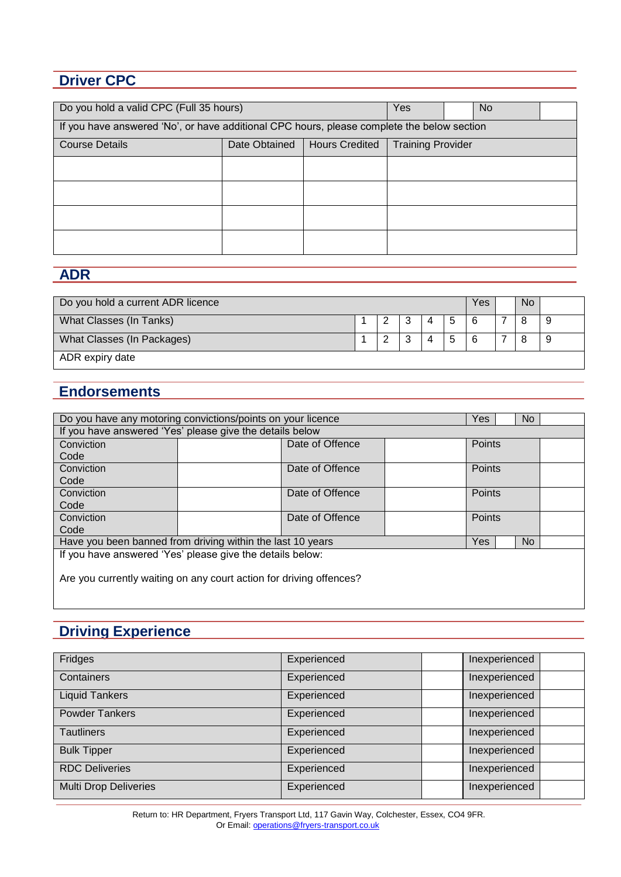## **Driver CPC**

| Do you hold a valid CPC (Full 35 hours)                                                     | Yes |  | No. |  |  |  |
|---------------------------------------------------------------------------------------------|-----|--|-----|--|--|--|
| If you have answered 'No', or have additional CPC hours, please complete the below section  |     |  |     |  |  |  |
| <b>Training Provider</b><br>Date Obtained<br><b>Hours Credited</b><br><b>Course Details</b> |     |  |     |  |  |  |
|                                                                                             |     |  |     |  |  |  |
|                                                                                             |     |  |     |  |  |  |
|                                                                                             |     |  |     |  |  |  |
|                                                                                             |     |  |     |  |  |  |

### **ADR**

| Do you hold a current ADR licence |  |  |  |   |   |   |  | <b>No</b> |  |
|-----------------------------------|--|--|--|---|---|---|--|-----------|--|
| What Classes (In Tanks)           |  |  |  | 4 | 5 | 6 |  | 8         |  |
| What Classes (In Packages)        |  |  |  |   | 5 | 6 |  |           |  |
| ADR expiry date                   |  |  |  |   |   |   |  |           |  |

#### **Endorsements**

| Do you have any motoring convictions/points on your licence<br>No.<br>Yes. |  |                 |  |               |     |  |
|----------------------------------------------------------------------------|--|-----------------|--|---------------|-----|--|
| If you have answered 'Yes' please give the details below                   |  |                 |  |               |     |  |
| Conviction                                                                 |  | Date of Offence |  | Points        |     |  |
| Code                                                                       |  |                 |  |               |     |  |
| Conviction                                                                 |  | Date of Offence |  | <b>Points</b> |     |  |
| Code                                                                       |  |                 |  |               |     |  |
| Conviction                                                                 |  | Date of Offence |  | <b>Points</b> |     |  |
| Code                                                                       |  |                 |  |               |     |  |
| Conviction                                                                 |  | Date of Offence |  | Points        |     |  |
| Code                                                                       |  |                 |  |               |     |  |
| Have you been banned from driving within the last 10 years                 |  |                 |  | Yes:          | No. |  |
| If you have answered 'Yes' please give the details below:                  |  |                 |  |               |     |  |
|                                                                            |  |                 |  |               |     |  |
| Are you currently waiting on any court action for driving offences?        |  |                 |  |               |     |  |
|                                                                            |  |                 |  |               |     |  |
|                                                                            |  |                 |  |               |     |  |

### **Driving Experience**

| Fridges                      | Experienced | Inexperienced |  |
|------------------------------|-------------|---------------|--|
| Containers                   | Experienced | Inexperienced |  |
| <b>Liquid Tankers</b>        | Experienced | Inexperienced |  |
| <b>Powder Tankers</b>        | Experienced | Inexperienced |  |
| <b>Tautliners</b>            | Experienced | Inexperienced |  |
| <b>Bulk Tipper</b>           | Experienced | Inexperienced |  |
| <b>RDC Deliveries</b>        | Experienced | Inexperienced |  |
| <b>Multi Drop Deliveries</b> | Experienced | Inexperienced |  |

Return to: HR Department, Fryers Transport Ltd, 117 Gavin Way, Colchester, Essex, CO4 9FR. Or Email[: operations@fryers-transport.co.uk](mailto:operations@fryers-transport.co.uk)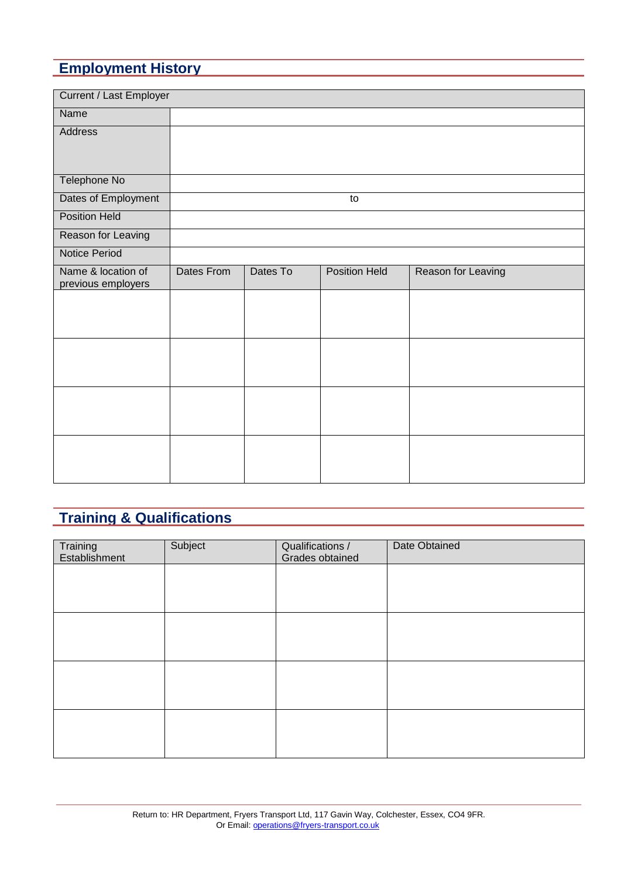# **Employment History**

| <b>Current / Last Employer</b>           |            |          |                      |                    |
|------------------------------------------|------------|----------|----------------------|--------------------|
| Name                                     |            |          |                      |                    |
| Address                                  |            |          |                      |                    |
|                                          |            |          |                      |                    |
| Telephone No                             |            |          |                      |                    |
| Dates of Employment                      |            |          | to                   |                    |
| <b>Position Held</b>                     |            |          |                      |                    |
| Reason for Leaving                       |            |          |                      |                    |
| <b>Notice Period</b>                     |            |          |                      |                    |
| Name & location of<br>previous employers | Dates From | Dates To | <b>Position Held</b> | Reason for Leaving |
|                                          |            |          |                      |                    |
|                                          |            |          |                      |                    |
|                                          |            |          |                      |                    |
|                                          |            |          |                      |                    |
|                                          |            |          |                      |                    |
|                                          |            |          |                      |                    |
|                                          |            |          |                      |                    |
|                                          |            |          |                      |                    |
|                                          |            |          |                      |                    |
|                                          |            |          |                      |                    |

# **Training & Qualifications**

| Training<br>Establishment | Subject | Qualifications /<br>Grades obtained | Date Obtained |
|---------------------------|---------|-------------------------------------|---------------|
|                           |         |                                     |               |
|                           |         |                                     |               |
|                           |         |                                     |               |
|                           |         |                                     |               |
|                           |         |                                     |               |
|                           |         |                                     |               |
|                           |         |                                     |               |
|                           |         |                                     |               |